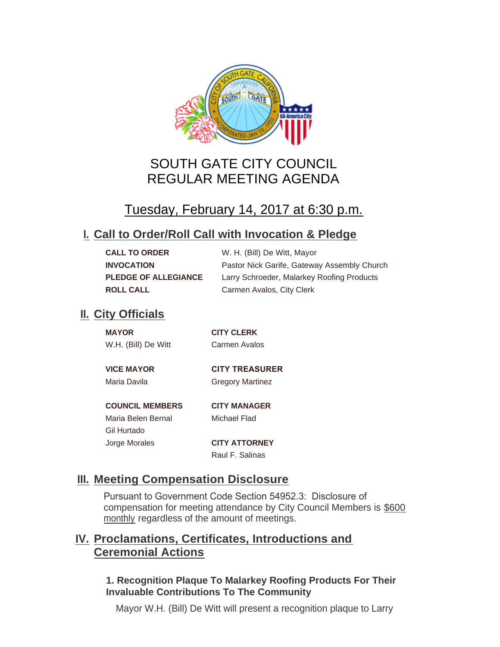

# SOUTH GATE CITY COUNCIL REGULAR MEETING AGENDA

# Tuesday, February 14, 2017 at 6:30 p.m.

## **Call to Order/Roll Call with Invocation & Pledge I.**

| <b>CALL TO ORDER</b>        | W. H. (Bill) De Witt, Mayor                 |
|-----------------------------|---------------------------------------------|
| <b>INVOCATION</b>           | Pastor Nick Garife, Gateway Assembly Church |
| <b>PLEDGE OF ALLEGIANCE</b> | Larry Schroeder, Malarkey Roofing Products  |
| <b>ROLL CALL</b>            | Carmen Avalos, City Clerk                   |

## **II.** City Officials

| <b>MAYOR</b>           | <b>CITY CLERK</b>       |
|------------------------|-------------------------|
| W.H. (Bill) De Witt    | Carmen Avalos           |
|                        |                         |
| <b>VICE MAYOR</b>      | <b>CITY TREASURER</b>   |
| Maria Davila           | <b>Gregory Martinez</b> |
|                        |                         |
| <b>COUNCIL MEMBERS</b> | <b>CITY MANAGER</b>     |
| Maria Belen Bernal     | Michael Flad            |
| Gil Hurtado            |                         |

Jorge Morales **CITY ATTORNEY** Raul F. Salinas

## **Meeting Compensation Disclosure III.**

Pursuant to Government Code Section 54952.3: Disclosure of compensation for meeting attendance by City Council Members is \$600 monthly regardless of the amount of meetings.

## **Proclamations, Certificates, Introductions and IV. Ceremonial Actions**

### **1. Recognition Plaque To Malarkey Roofing Products For Their Invaluable Contributions To The Community**

Mayor W.H. (Bill) De Witt will present a recognition plaque to Larry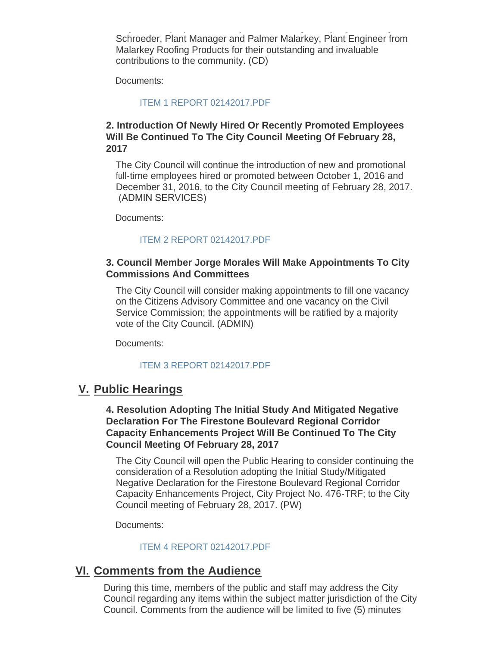Mayor W.H. (Bill) De Witt will present a recognition plaque to Larry Schroeder, Plant Manager and Palmer Malarkey, Plant Engineer from Malarkey Roofing Products for their outstanding and invaluable contributions to the community. (CD)

Documents:

#### [ITEM 1 REPORT 02142017.PDF](http://www.cityofsouthgate.org/AgendaCenter/ViewFile/Item/3681?fileID=9031)

#### **2. Introduction Of Newly Hired Or Recently Promoted Employees Will Be Continued To The City Council Meeting Of February 28, 2017**

The City Council will continue the introduction of new and promotional full-time employees hired or promoted between October 1, 2016 and December 31, 2016, to the City Council meeting of February 28, 2017. (ADMIN SERVICES)

Documents:

#### [ITEM 2 REPORT 02142017.PDF](http://www.cityofsouthgate.org/AgendaCenter/ViewFile/Item/3679?fileID=9027)

#### **3. Council Member Jorge Morales Will Make Appointments To City Commissions And Committees**

The City Council will consider making appointments to fill one vacancy on the Citizens Advisory Committee and one vacancy on the Civil Service Commission; the appointments will be ratified by a majority vote of the City Council. (ADMIN)

Documents:

#### [ITEM 3 REPORT 02142017.PDF](http://www.cityofsouthgate.org/AgendaCenter/ViewFile/Item/3678?fileID=9026)

### **Public Hearings V.**

#### **4. Resolution Adopting The Initial Study And Mitigated Negative Declaration For The Firestone Boulevard Regional Corridor Capacity Enhancements Project Will Be Continued To The City Council Meeting Of February 28, 2017**

The City Council will open the Public Hearing to consider continuing the consideration of a Resolution adopting the Initial Study/Mitigated Negative Declaration for the Firestone Boulevard Regional Corridor Capacity Enhancements Project, City Project No. 476-TRF; to the City Council meeting of February 28, 2017. (PW)

Documents:

#### [ITEM 4 REPORT 02142017.PDF](http://www.cityofsouthgate.org/AgendaCenter/ViewFile/Item/3693?fileID=9053)

### **Comments from the Audience VI.**

During this time, members of the public and staff may address the City Council regarding any items within the subject matter jurisdiction of the City Council. Comments from the audience will be limited to five (5) minutes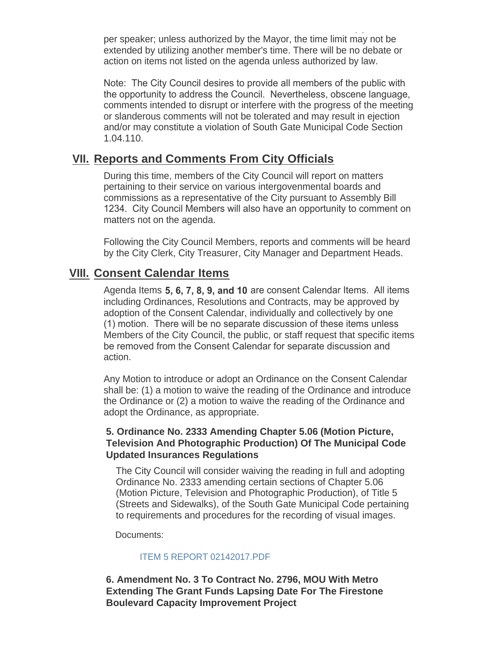$\mathcal{L}_{\mathcal{L}}$ per speaker; unless authorized by the Mayor, the time limit may not be extended by utilizing another member's time. There will be no debate or action on items not listed on the agenda unless authorized by law.

Note: The City Council desires to provide all members of the public with the opportunity to address the Council. Nevertheless, obscene language, comments intended to disrupt or interfere with the progress of the meeting or slanderous comments will not be tolerated and may result in ejection and/or may constitute a violation of South Gate Municipal Code Section 1.04.110.

## **Reports and Comments From City Officials VII.**

During this time, members of the City Council will report on matters pertaining to their service on various intergovenmental boards and commissions as a representative of the City pursuant to Assembly Bill 1234. City Council Members will also have an opportunity to comment on matters not on the agenda.

Following the City Council Members, reports and comments will be heard by the City Clerk, City Treasurer, City Manager and Department Heads.

### **Consent Calendar Items VIII.**

Agenda Items **5, 6, 7, 8, 9, and 10** are consent Calendar Items. All items including Ordinances, Resolutions and Contracts, may be approved by adoption of the Consent Calendar, individually and collectively by one (1) motion. There will be no separate discussion of these items unless Members of the City Council, the public, or staff request that specific items be removed from the Consent Calendar for separate discussion and action.

Any Motion to introduce or adopt an Ordinance on the Consent Calendar shall be: (1) a motion to waive the reading of the Ordinance and introduce the Ordinance or (2) a motion to waive the reading of the Ordinance and adopt the Ordinance, as appropriate.

#### **5. Ordinance No. 2333 Amending Chapter 5.06 (Motion Picture, Television And Photographic Production) Of The Municipal Code Updated Insurances Regulations**

The City Council will consider waiving the reading in full and adopting Ordinance No. 2333 amending certain sections of Chapter 5.06 (Motion Picture, Television and Photographic Production), of Title 5 (Streets and Sidewalks), of the South Gate Municipal Code pertaining to requirements and procedures for the recording of visual images.

Documents:

#### [ITEM 5 REPORT 02142017.PDF](http://www.cityofsouthgate.org/AgendaCenter/ViewFile/Item/3677?fileID=9025)

**6. Amendment No. 3 To Contract No. 2796, MOU With Metro Extending The Grant Funds Lapsing Date For The Firestone Boulevard Capacity Improvement Project**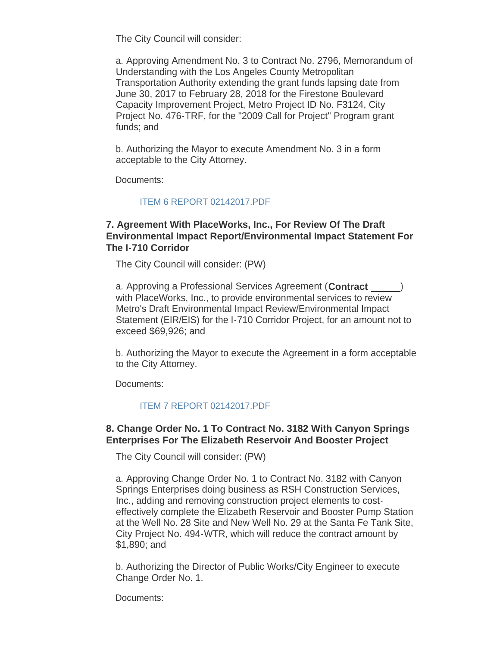The City Council will consider:

a. Approving Amendment No. 3 to Contract No. 2796, Memorandum of Understanding with the Los Angeles County Metropolitan Transportation Authority extending the grant funds lapsing date from June 30, 2017 to February 28, 2018 for the Firestone Boulevard Capacity Improvement Project, Metro Project ID No. F3124, City Project No. 476-TRF, for the "2009 Call for Project" Program grant funds; and

b. Authorizing the Mayor to execute Amendment No. 3 in a form acceptable to the City Attorney.

Documents:

#### [ITEM 6 REPORT 02142017.PDF](http://www.cityofsouthgate.org/AgendaCenter/ViewFile/Item/3694?fileID=9054)

#### **7. Agreement With PlaceWorks, Inc., For Review Of The Draft Environmental Impact Report/Environmental Impact Statement For The I-710 Corridor**

The City Council will consider: (PW)

a. Approving a Professional Services Agreement (**Contract** ) with PlaceWorks, Inc., to provide environmental services to review Metro's Draft Environmental Impact Review/Environmental Impact Statement (EIR/EIS) for the I-710 Corridor Project, for an amount not to exceed \$69,926; and

b. Authorizing the Mayor to execute the Agreement in a form acceptable to the City Attorney.

Documents:

#### [ITEM 7 REPORT 02142017.PDF](http://www.cityofsouthgate.org/AgendaCenter/ViewFile/Item/3705?fileID=9057)

#### **8. Change Order No. 1 To Contract No. 3182 With Canyon Springs Enterprises For The Elizabeth Reservoir And Booster Project**

The City Council will consider: (PW)

a. Approving Change Order No. 1 to Contract No. 3182 with Canyon Springs Enterprises doing business as RSH Construction Services, Inc., adding and removing construction project elements to costeffectively complete the Elizabeth Reservoir and Booster Pump Station at the Well No. 28 Site and New Well No. 29 at the Santa Fe Tank Site, City Project No. 494-WTR, which will reduce the contract amount by \$1,890; and

b. Authorizing the Director of Public Works/City Engineer to execute Change Order No. 1.

Documents: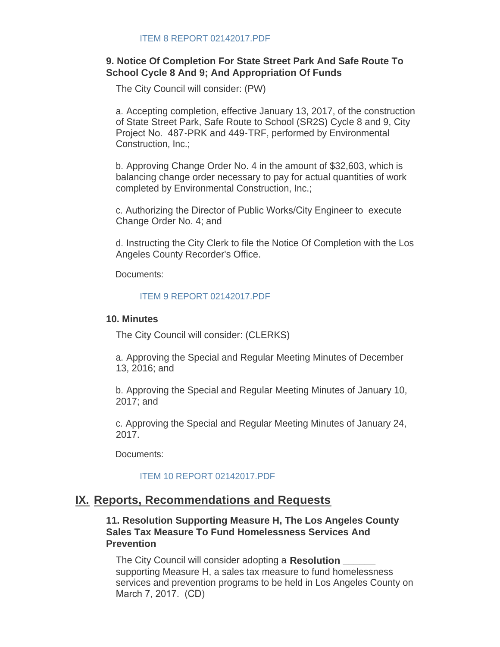#### **9. Notice Of Completion For State Street Park And Safe Route To School Cycle 8 And 9; And Appropriation Of Funds**

The City Council will consider: (PW)

a. Accepting completion, effective January 13, 2017, of the construction of State Street Park, Safe Route to School (SR2S) Cycle 8 and 9, City Project No. 487-PRK and 449-TRF, performed by Environmental Construction, Inc.;

b. Approving Change Order No. 4 in the amount of \$32,603, which is balancing change order necessary to pay for actual quantities of work completed by Environmental Construction, Inc.;

c. Authorizing the Director of Public Works/City Engineer to execute Change Order No. 4; and

d. Instructing the City Clerk to file the Notice Of Completion with the Los Angeles County Recorder's Office.

Documents:

#### [ITEM 9 REPORT 02142017.PDF](http://www.cityofsouthgate.org/AgendaCenter/ViewFile/Item/3696?fileID=9055)

#### **10. Minutes**

The City Council will consider: (CLERKS)

a. Approving the Special and Regular Meeting Minutes of December 13, 2016; and

b. Approving the Special and Regular Meeting Minutes of January 10, 2017; and

c. Approving the Special and Regular Meeting Minutes of January 24, 2017.

Documents:

#### [ITEM 10 REPORT 02142017.PDF](http://www.cityofsouthgate.org/AgendaCenter/ViewFile/Item/3682?fileID=9030)

## **IX. Reports, Recommendations and Requests**

**11. Resolution Supporting Measure H, The Los Angeles County Sales Tax Measure To Fund Homelessness Services And Prevention**

The City Council will consider adopting a **Resolution \_\_\_\_\_\_** supporting Measure H, a sales tax measure to fund homelessness services and prevention programs to be held in Los Angeles County on March 7, 2017. (CD)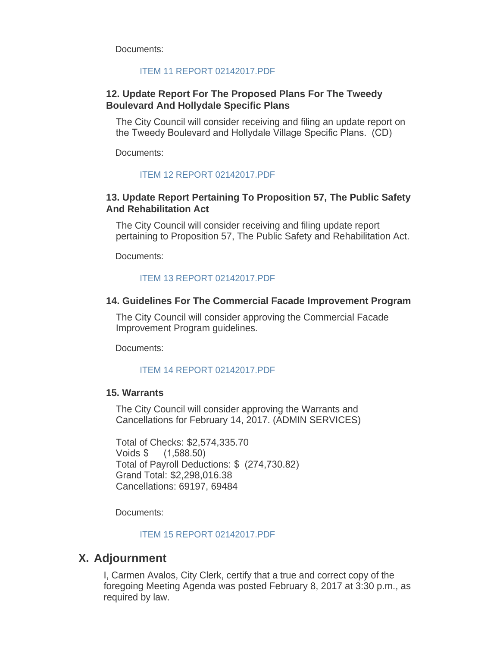Documents:

#### [ITEM 11 REPORT 02142017.PDF](http://www.cityofsouthgate.org/AgendaCenter/ViewFile/Item/3683?fileID=9032)

#### **12. Update Report For The Proposed Plans For The Tweedy Boulevard And Hollydale Specific Plans**

The City Council will consider receiving and filing an update report on the Tweedy Boulevard and Hollydale Village Specific Plans. (CD)

Documents:

#### [ITEM 12 REPORT 02142017.PDF](http://www.cityofsouthgate.org/AgendaCenter/ViewFile/Item/3674?fileID=9022)

#### **13. Update Report Pertaining To Proposition 57, The Public Safety And Rehabilitation Act**

The City Council will consider receiving and filing update report pertaining to Proposition 57, The Public Safety and Rehabilitation Act.

Documents:

#### [ITEM 13 REPORT 02142017.PDF](http://www.cityofsouthgate.org/AgendaCenter/ViewFile/Item/3676?fileID=9024)

#### **14. Guidelines For The Commercial Facade Improvement Program**

The City Council will consider approving the Commercial Facade Improvement Program guidelines.

Documents:

#### [ITEM 14 REPORT 02142017.PDF](http://www.cityofsouthgate.org/AgendaCenter/ViewFile/Item/3675?fileID=9023)

#### **15. Warrants**

The City Council will consider approving the Warrants and Cancellations for February 14, 2017. (ADMIN SERVICES)

Total of Checks: \$2,574,335.70 Voids \$ (1,588.50) Total of Payroll Deductions: \$ (274,730.82) Grand Total: \$2,298,016.38 Cancellations: 69197, 69484

Documents:

[ITEM 15 REPORT 02142017.PDF](http://www.cityofsouthgate.org/AgendaCenter/ViewFile/Item/3703?fileID=9056)

## **Adjournment X.**

I, Carmen Avalos, City Clerk, certify that a true and correct copy of the foregoing Meeting Agenda was posted February 8, 2017 at 3:30 p.m., as required by law.